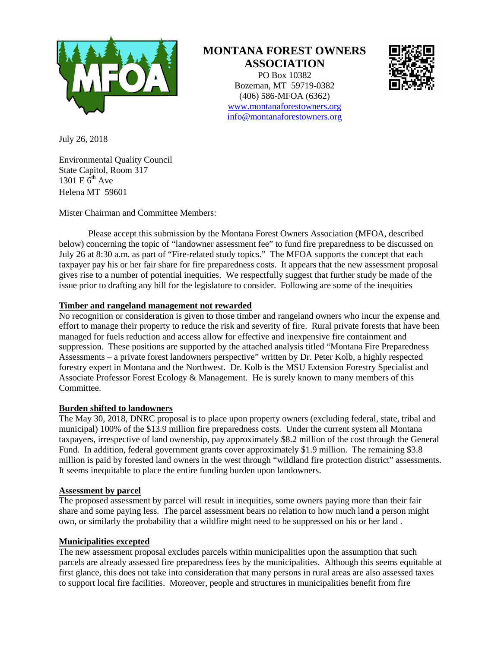

# **MONTANA FOREST OWNERS ASSOCIATION**

PO Box 10382 Bozeman, MT 59719-0382 (406) 586-MFOA (6362) [www.montanaforestowners.org](http://www.montanaforestowners.org/) [info@montanaforestowners.org](mailto:info@montanaforestowners.org)



July 26, 2018

Environmental Quality Council State Capitol, Room 317 1301 E  $\tilde{6}^{th}$  Ave Helena MT 59601

Mister Chairman and Committee Members:

Please accept this submission by the Montana Forest Owners Association (MFOA, described below) concerning the topic of "landowner assessment fee" to fund fire preparedness to be discussed on July 26 at 8:30 a.m. as part of "Fire-related study topics." The MFOA supports the concept that each taxpayer pay his or her fair share for fire preparedness costs. It appears that the new assessment proposal gives rise to a number of potential inequities. We respectfully suggest that further study be made of the issue prior to drafting any bill for the legislature to consider. Following are some of the inequities

## **Timber and rangeland management not rewarded**

No recognition or consideration is given to those timber and rangeland owners who incur the expense and effort to manage their property to reduce the risk and severity of fire. Rural private forests that have been managed for fuels reduction and access allow for effective and inexpensive fire containment and suppression. These positions are supported by the attached analysis titled "Montana Fire Preparedness Assessments – a private forest landowners perspective" written by Dr. Peter Kolb, a highly respected forestry expert in Montana and the Northwest. Dr. Kolb is the MSU Extension Forestry Specialist and Associate Professor Forest Ecology & Management. He is surely known to many members of this Committee.

### **Burden shifted to landowners**

The May 30, 2018, DNRC proposal is to place upon property owners (excluding federal, state, tribal and municipal) 100% of the \$13.9 million fire preparedness costs. Under the current system all Montana taxpayers, irrespective of land ownership, pay approximately \$8.2 million of the cost through the General Fund. In addition, federal government grants cover approximately \$1.9 million. The remaining \$3.8 million is paid by forested land owners in the west through "wildland fire protection district" assessments. It seems inequitable to place the entire funding burden upon landowners.

### **Assessment by parcel**

The proposed assessment by parcel will result in inequities, some owners paying more than their fair share and some paying less. The parcel assessment bears no relation to how much land a person might own, or similarly the probability that a wildfire might need to be suppressed on his or her land .

### **Municipalities excepted**

The new assessment proposal excludes parcels within municipalities upon the assumption that such parcels are already assessed fire preparedness fees by the municipalities. Although this seems equitable at first glance, this does not take into consideration that many persons in rural areas are also assessed taxes to support local fire facilities. Moreover, people and structures in municipalities benefit from fire